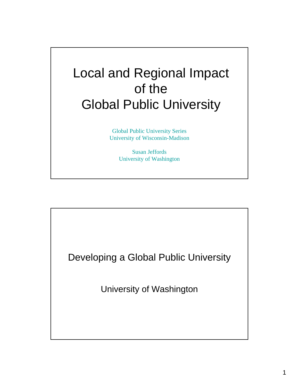# Local and Regional Impact of the Global Public University

Global Public University Series University of Wisconsin-Madison

> Susan Jeffords University of Washington

Developing a Global Public University University of Washington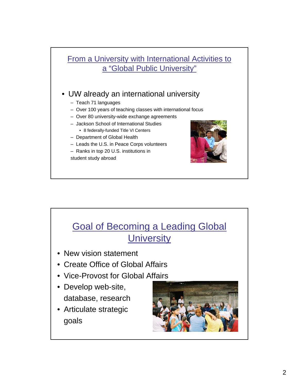### From a University with International Activities to a "Global Public University"

#### • UW already an international university

- Teach 71 languages
- Over 100 years of teaching classes with international focus
- Over 80 university-wide exchange agreements
- Jackson School of International Studies • 8 federally-funded Title VI Centers
- Department of Global Health
- Leads the U.S. in Peace Corps volunteers
- Ranks in top 20 U.S. institutions in

student study abroad



# Goal of Becoming a Leading Global **University**

- New vision statement
- Create Office of Global Affairs
- Vice-Provost for Global Affairs
- Develop web-site, database, research
- Articulate strategic goals

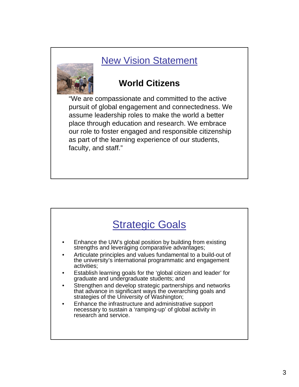## New Vision Statement



## **World Citizens**

"We are compassionate and committed to the active pursuit of global engagement and connectedness. We assume leadership roles to make the world a better place through education and research. We embrace our role to foster engaged and responsible citizenship as part of the learning experience of our students, faculty, and staff."

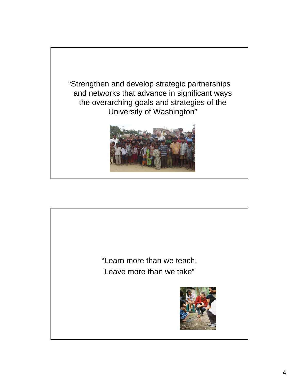

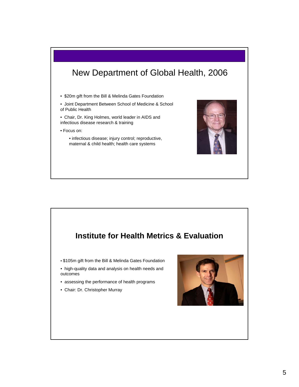## New Department of Global Health, 2006

• \$20m gift from the Bill & Melinda Gates Foundation

• Joint Department Between School of Medicine & School of Public Health

• Chair, Dr. King Holmes, world leader in AIDS and infectious disease research & training

• Focus on:

• infectious disease; injury control; reproductive, maternal & child health; health care systems



### **Institute for Health Metrics & Evaluation**

• \$105m gift from the Bill & Melinda Gates Foundation

• high-quality data and analysis on health needs and outcomes

- assessing the performance of health programs
- Chair: Dr. Christopher Murray

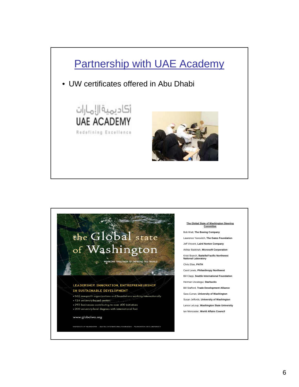

# the Global state of Washington

WORKING TOGETHER TO IMPROVE THE WORLD

#### LEADERSHIP, INNOVATION, ENTREPRENEURSHIP IN SUSTAINABLE DEVELOPMENT

- . 355 non-profit organizations and foundations working internationally
- · 124 university-based centers
- . 293 businesses contributing to over 400 initiatives
- . 200 university-level degrees with international foci

.<br>VERSITY OF WASHINGTON • SEATTLE INTERNATIONAL FOUNDATION • WASH:

www.globalwa.org

#### **The Global State of Washington Steering Committee** Bob Watt, **The Boeing Company**

Lawrence Yanovitch, **The Gates Foundation** Jeff Vincent, **Laird Norton Company** Akhtar Badshah, **Microsoft Corporation** Kristi Branch, **Battelle/**P**acific Northwest National Laboratory**  Chris Elias, **PATH** Carol Lewis, **Philanthropy Northwest**  Bill Clapp, **Seattle International Foundation** Herman Uscategui, **Starbucks** Bill Stafford, **Trade Development Alliance**  Sara Curran, **University of Washington** Susan Jeffords, **University of Washington**  Lance LeLoup, **Washington State University**  Ian Moncaster, **World Affairs Council**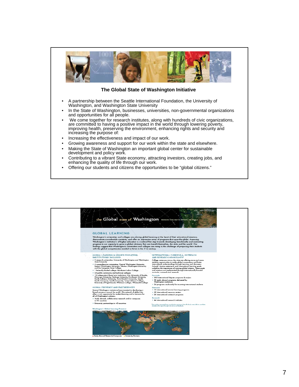

#### **The Global State of Washington Initiative**

- A partnership between the Seattle International Foundation, the University of Washington, and Washington State University
- In the State of Washington, businesses, universities, non-governmental organizations and opportunities for all people.
- We come together for research institutes, along with hundreds of civic organizations, are committed to having a positive impact in the world through lowering poverty, improving health, preserving the environment, enhancing rights and security and increasing the purpose of:
- Increasing the effectiveness and impact of our work.
- Growing awareness and support for our work within the state and elsewhere.
- Making the State of Washington an important global center for sustainable development and policy work.
- Contributing to a vibrant State economy, attracting investors, creating jobs, and enhancing the quality of life through our work.
- Offering our students and citizens the opportunities to be "global citizens."